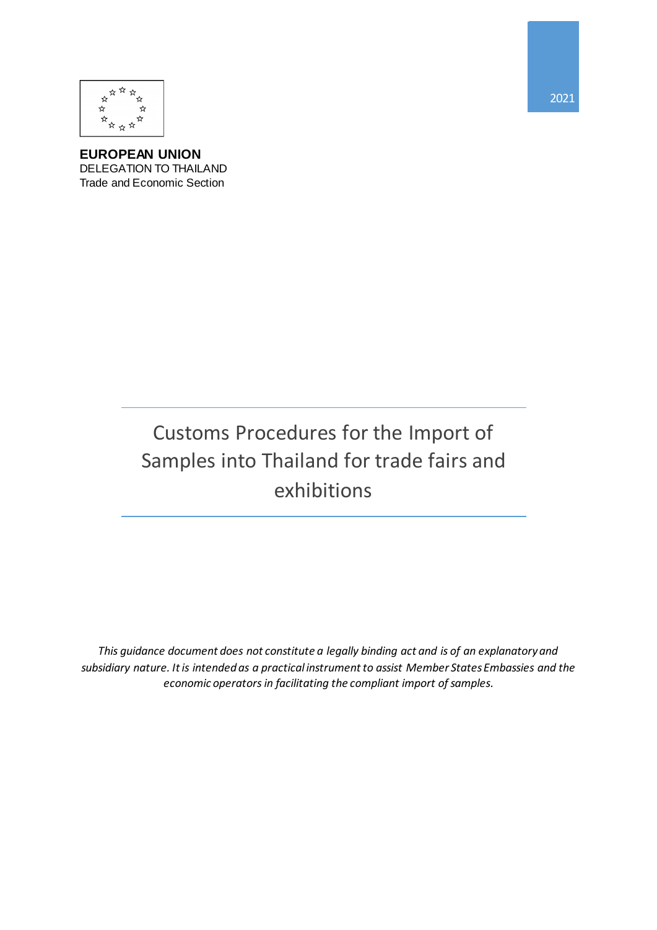

**EUROPEAN UNION** DELEGATION TO THAILAND Trade and Economic Section

# Customs Procedures for the Import of Samples into Thailand for trade fairs and exhibitions

This guidance document does not constitute a legally binding act and is of an explanatory and *subsidiary nature. It is intended as a practical instrument to assist Member States Embassies and the economic operators in facilitating the compliant import of samples.*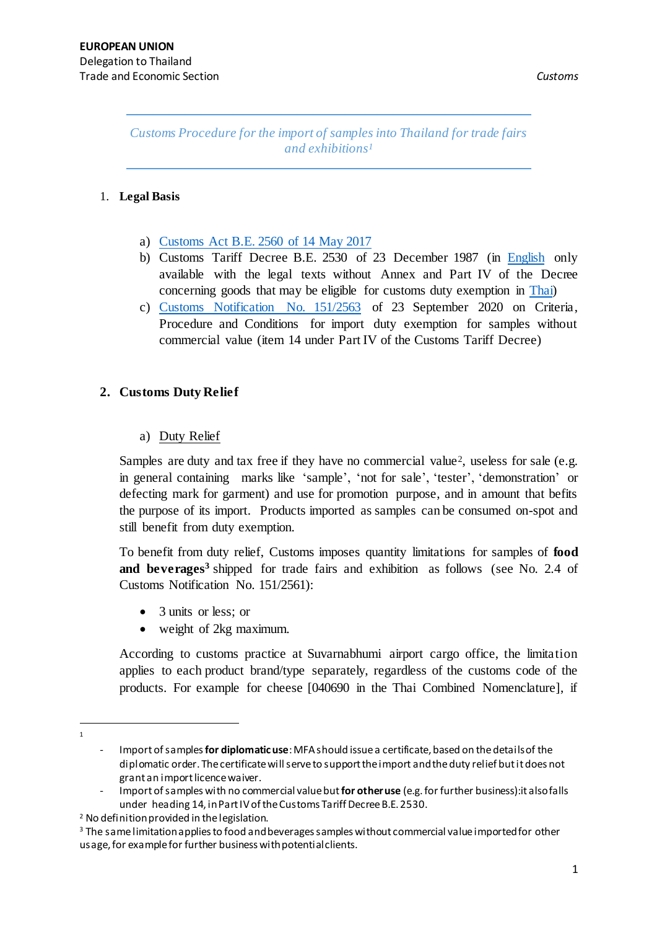*Customs Procedure for the import of samples into Thailand for trade fairs and exhibitions<sup>1</sup>*

# 1. **Legal Basis**

- a) Customs Act [B.E. 2560 of 14 May 2017](http://www.customs.go.th/data_files/9b58e9c383e05163c0223e8e2e7e6991.pdf)
- b) Customs Tariff Decree B.E. 2530 of 23 December 1987 (in [English](http://www.customs.go.th/data_files/88691df20853d143a73b669fd134065f.pdf) only available with the legal texts without Annex and Part IV of the Decree concerning goods that may be eligible for customs duty exemption in [Thai\)](http://www.customs.go.th/data_files/7be87200535c71b44b5745aa59a12c19.pdf)
- c) [Customs Notification No. 151/2563](http://www.customs.go.th/cont_strc_download_with_docno_date.php?lang=th&top_menu=menu_homepage¤t_id=14232832404e505e4f464a4e464b49) of 23 September 2020 on Criteria, Procedure and Conditions for import duty exemption for samples without commercial value (item 14 under Part IV of the Customs Tariff Decree)

# **2. Customs Duty Relief**

# a) Duty Relief

Samples are duty and tax free if they have no commercial value<sup>2</sup>, useless for sale (e.g. in general containing marks like 'sample', 'not for sale', 'tester', 'demonstration' or defecting mark for garment) and use for promotion purpose, and in amount that befits the purpose of its import. Products imported as samples can be consumed on-spot and still benefit from duty exemption.

To benefit from duty relief, Customs imposes quantity limitations for samples of **food and beverages<sup>3</sup>** shipped for trade fairs and exhibition as follows (see No. 2.4 of Customs Notification No. 151/2561):

- 3 units or less; or
- weight of 2kg maximum.

According to customs practice at Suvarnabhumi airport cargo office, the limitation applies to each product brand/type separately, regardless of the customs code of the products. For example for cheese [040690 in the Thai Combined Nomenclature], if

 $\overline{a}$ 1

<sup>-</sup> Import of samples **for diplomatic use**: MFA should issue a certificate, based on the details of the diplomatic order. The certificate will serve to support the import and theduty relief but it does not grant an import licence waiver.

<sup>-</sup> Import of samples with no commercial value but**for other use** (e.g. for further business):it also falls under heading 14, in Part IV of the Customs Tariff Decree B.E. 2530.

<sup>2</sup> No definition provided in the legislation.

<sup>&</sup>lt;sup>3</sup> The same limitation applies to food and beverages samples without commercial value imported for other usage, for example for further business with potential clients.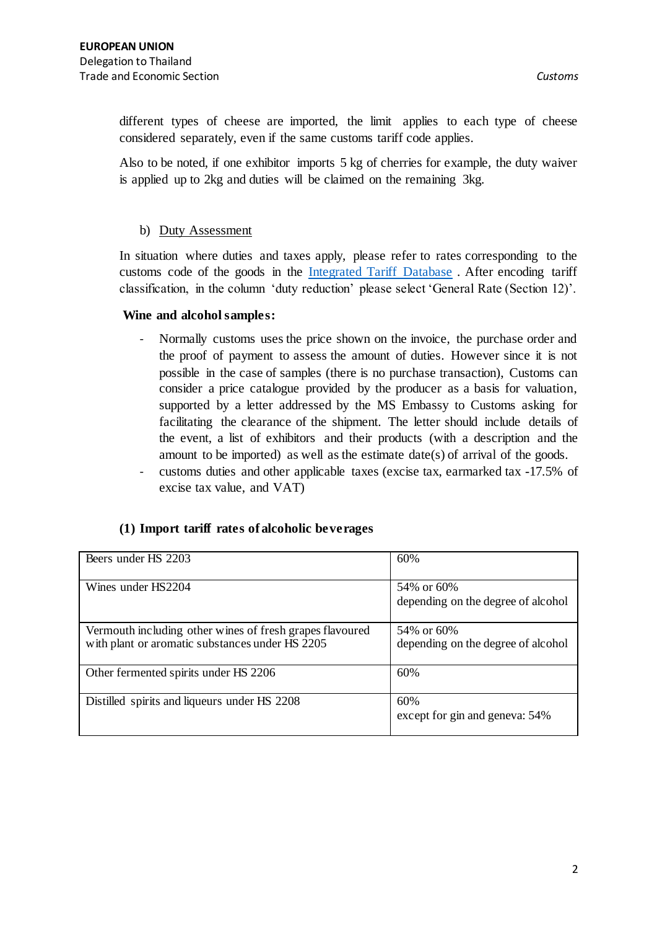different types of cheese are imported, the limit applies to each type of cheese considered separately, even if the same customs tariff code applies.

Also to be noted, if one exhibitor imports 5 kg of cherries for example, the duty waiver is applied up to 2kg and duties will be claimed on the remaining 3kg.

## b) Duty Assessment

In situation where duties and taxes apply, please refer to rates corresponding to the customs code of the goods in the [Integrated Tariff Database](http://itd.customs.go.th/igtf/th/main_frame.jsp?lang=th&top_menu=menu_homepage¤t_id=5028) . After encoding tariff classification, in the column 'duty reduction' please select 'General Rate (Section 12)'.

# **Wine and alcohol samples:**

- Normally customs uses the price shown on the invoice, the purchase order and the proof of payment to assess the amount of duties. However since it is not possible in the case of samples (there is no purchase transaction), Customs can consider a price catalogue provided by the producer as a basis for valuation, supported by a letter addressed by the MS Embassy to Customs asking for facilitating the clearance of the shipment. The letter should include details of the event, a list of exhibitors and their products (with a description and the amount to be imported) as well as the estimate date(s) of arrival of the goods.
- customs duties and other applicable taxes (excise tax, earmarked tax -17.5% of excise tax value, and VAT)

# **(1) Import tariff rates of alcoholic beverages**

| Beers under HS 2203                                                                                         | 60%                                              |
|-------------------------------------------------------------------------------------------------------------|--------------------------------------------------|
| Wines under HS2204                                                                                          | 54% or 60%<br>depending on the degree of alcohol |
| Vermouth including other wines of fresh grapes flavoured<br>with plant or aromatic substances under HS 2205 | 54% or 60%<br>depending on the degree of alcohol |
| Other fermented spirits under HS 2206                                                                       | 60%                                              |
| Distilled spirits and liqueurs under HS 2208                                                                | 60%<br>except for gin and geneva: 54%            |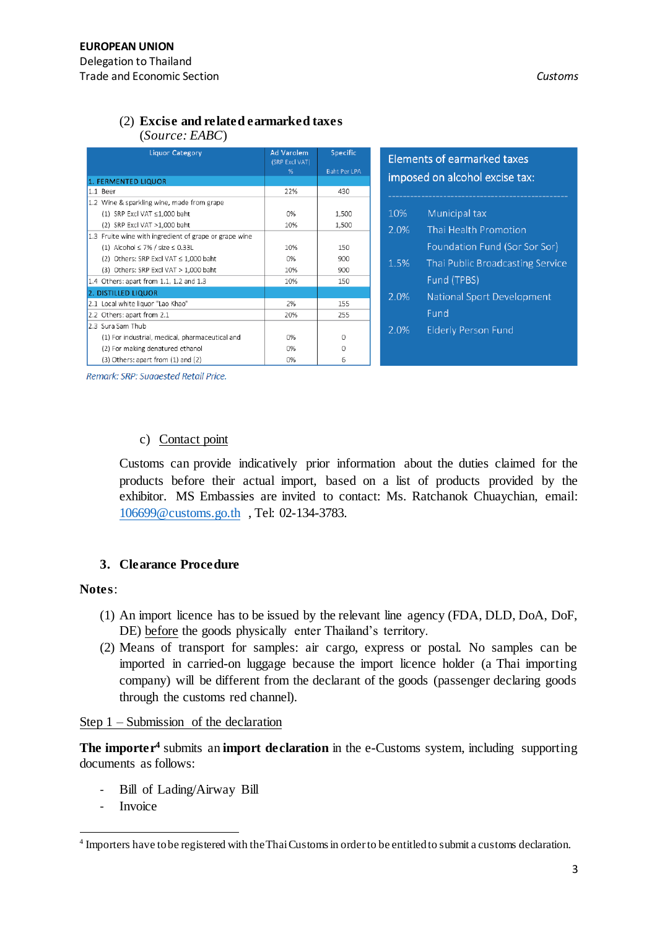#### (2) **Excise and related earmarked taxes**  (*Source: EABC*)

| <b>Liquor Category</b>                                 | <b>Ad Varolem</b><br>(SRP Excl VAT)<br>% | Specific<br><b>Baht Per LPA</b> | <b>Elements of earmarked taxes</b> |                                 |  |
|--------------------------------------------------------|------------------------------------------|---------------------------------|------------------------------------|---------------------------------|--|
| 1. FERMENTED LIQUOR                                    |                                          |                                 | imposed on alcohol excise tax:     |                                 |  |
| 1.1 Beer                                               | 22%                                      | 430                             |                                    |                                 |  |
| 1.2 Wine & sparkling wine, made from grape             |                                          |                                 |                                    |                                 |  |
| $(1)$ SRP Excl VAT $\leq$ 1,000 baht                   | 0%                                       | 1,500                           | Municipal tax<br>10%               |                                 |  |
| (2) SRP Excl VAT >1,000 baht                           | 10%                                      | 1,500                           | 2.0%                               | Thai Health Promotion           |  |
| 1.3 Fruite wine with ingredient of grape or grape wine |                                          |                                 |                                    |                                 |  |
| (1) Alcohol $\leq$ 7% / size $\leq$ 0.33L              | 10%                                      | 150                             |                                    | Foundation Fund (Sor Sor Sor)   |  |
| (2) Others: SRP Excl VAT ≤ 1,000 baht                  | 0%                                       | 900                             | 1.5%                               | Thai Public Broadcasting Servic |  |
| (3) Others: SRP Excl VAT > 1,000 baht                  | 10%                                      | 900                             |                                    |                                 |  |
| 1.4 Others: apart from 1.1, 1.2 and 1.3                | 10%                                      | 150                             | Fund (TPBS)                        |                                 |  |
| 2. DISTILLED LIQUOR                                    |                                          |                                 | 2.0%                               | National Sport Development      |  |
| 2.1 Local white liquor "Lao Khao"                      | 2%                                       | 155                             |                                    |                                 |  |
| 2.2 Others: apart from 2.1                             | 20%                                      | 255                             | Fund                               |                                 |  |
| 2.3 Sura Sam Thub                                      |                                          |                                 | 2.0%                               | <b>Elderly Person Fund</b>      |  |
| (1) For industrial, medical, pharmaceutical and        | 0%                                       | 0                               |                                    |                                 |  |
| (2) For making denatured ethanol                       | 0%                                       | 0                               |                                    |                                 |  |
| (3) Others: apart from (1) and (2)                     | 0%                                       | 6                               |                                    |                                 |  |

Remark: SRP: Suagested Retail Price.

### c) Contact point

Customs can provide indicatively prior information about the duties claimed for the products before their actual import, based on a list of products provided by the exhibitor. MS Embassies are invited to contact: Ms. Ratchanok Chuaychian, email: [106699@customs.go.th](mailto:106699@customs.go.th) , Tel: 02-134-3783.

## **3. Clearance Procedure**

#### **Notes**:

- (1) An import licence has to be issued by the relevant line agency (FDA, DLD, DoA, DoF, DE) before the goods physically enter Thailand's territory.
- (2) Means of transport for samples: air cargo, express or postal. No samples can be imported in carried-on luggage because the import licence holder (a Thai importing company) will be different from the declarant of the goods (passenger declaring goods through the customs red channel).

## Step 1 – Submission of the declaration

**The importer<sup>4</sup>** submits an **import declaration** in the e-Customs system, including supporting documents as follows:

- Bill of Lading/Airway Bill
- **Invoice**

 $\overline{a}$ 

<sup>&</sup>lt;sup>4</sup> Importers have to be registered with the Thai Customs in order to be entitled to submit a customs declaration.